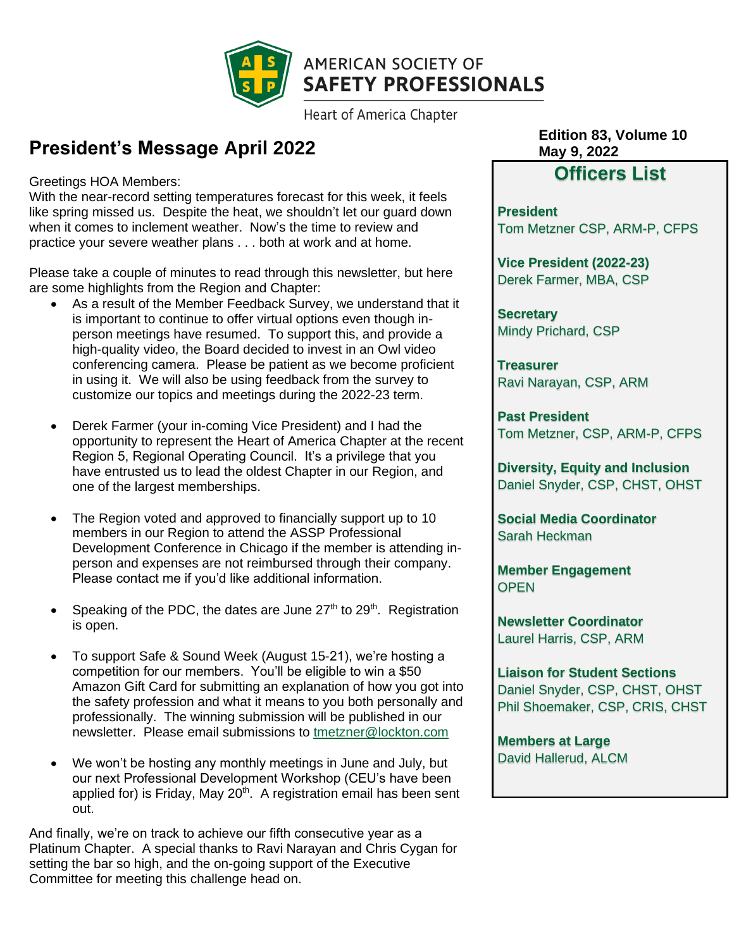

**Heart of America Chapter** 

### **President's Message April 2022**

Greetings HOA Members:

With the near-record setting temperatures forecast for this week, it feels like spring missed us. Despite the heat, we shouldn't let our guard down when it comes to inclement weather. Now's the time to review and practice your severe weather plans . . . both at work and at home.

Please take a couple of minutes to read through this newsletter, but here are some highlights from the Region and Chapter:

- As a result of the Member Feedback Survey, we understand that it is important to continue to offer virtual options even though inperson meetings have resumed. To support this, and provide a high-quality video, the Board decided to invest in an Owl video conferencing camera. Please be patient as we become proficient in using it. We will also be using feedback from the survey to customize our topics and meetings during the 2022-23 term.
- Derek Farmer (your in-coming Vice President) and I had the opportunity to represent the Heart of America Chapter at the recent Region 5, Regional Operating Council. It's a privilege that you have entrusted us to lead the oldest Chapter in our Region, and one of the largest memberships.
- The Region voted and approved to financially support up to 10 members in our Region to attend the ASSP Professional Development Conference in Chicago if the member is attending inperson and expenses are not reimbursed through their company. Please contact me if you'd like additional information.
- Speaking of the PDC, the dates are June  $27<sup>th</sup>$  to  $29<sup>th</sup>$ . Registration is open.
- To support Safe & Sound Week (August 15-21), we're hosting a competition for our members. You'll be eligible to win a \$50 Amazon Gift Card for submitting an explanation of how you got into the safety profession and what it means to you both personally and professionally. The winning submission will be published in our newsletter. Please email submissions to [tmetzner@lockton.com](mailto:tmetzner@lockton.com)
- We won't be hosting any monthly meetings in June and July, but our next Professional Development Workshop (CEU's have been applied for) is Friday, May 20<sup>th</sup>. A registration email has been sent out.

And finally, we're on track to achieve our fifth consecutive year as a Platinum Chapter. A special thanks to Ravi Narayan and Chris Cygan for setting the bar so high, and the on-going support of the Executive Committee for meeting this challenge head on.

**Edition 83, Volume 10 May 9, 2022**

### **Officers List**

**President** Tom Metzner CSP, ARM-P, CFPS

**Vice President (2022-23)** Derek Farmer, MBA, CSP

**Secretary** Mindy Prichard, CSP

**Treasurer** Ravi Narayan, CSP, ARM

**Past President** Tom Metzner, CSP, ARM-P, CFPS

**Diversity, Equity and Inclusion**  Daniel Snyder, CSP, CHST, OHST

**Social Media Coordinator** Sarah Heckman

**Member Engagement OPEN** 

**Newsletter Coordinator** Laurel Harris, CSP, ARM

**Liaison for Student Sections** Daniel Snyder, CSP, CHST, OHST Phil Shoemaker, CSP, CRIS, CHST

**Members at Large** David Hallerud, ALCM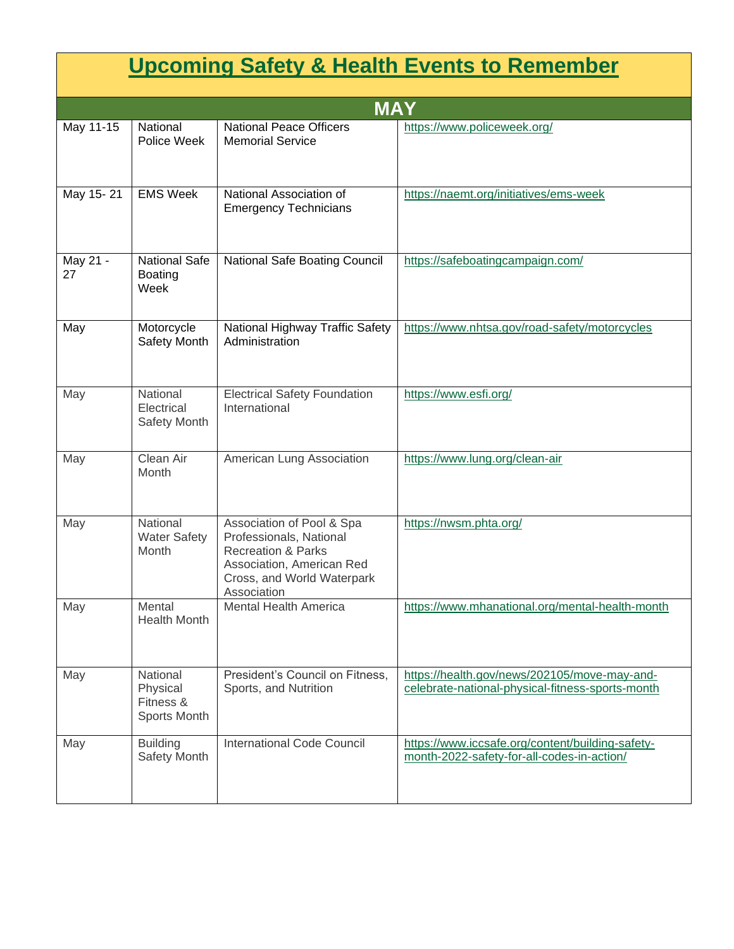| <b>Upcoming Safety &amp; Health Events to Remember</b> |                                                          |                                                                                                                                                                 |                                                                                                  |
|--------------------------------------------------------|----------------------------------------------------------|-----------------------------------------------------------------------------------------------------------------------------------------------------------------|--------------------------------------------------------------------------------------------------|
| <b>MAY</b>                                             |                                                          |                                                                                                                                                                 |                                                                                                  |
| May 11-15                                              | National<br>Police Week                                  | <b>National Peace Officers</b><br><b>Memorial Service</b>                                                                                                       | https://www.policeweek.org/                                                                      |
| May 15-21                                              | <b>EMS Week</b>                                          | National Association of<br><b>Emergency Technicians</b>                                                                                                         | https://naemt.org/initiatives/ems-week                                                           |
| May 21 -<br>27                                         | <b>National Safe</b><br><b>Boating</b><br>Week           | National Safe Boating Council                                                                                                                                   | https://safeboatingcampaign.com/                                                                 |
| May                                                    | Motorcycle<br>Safety Month                               | National Highway Traffic Safety<br>Administration                                                                                                               | https://www.nhtsa.gov/road-safety/motorcycles                                                    |
| May                                                    | National<br>Electrical<br>Safety Month                   | <b>Electrical Safety Foundation</b><br>International                                                                                                            | https://www.esfi.org/                                                                            |
| May                                                    | Clean Air<br>Month                                       | American Lung Association                                                                                                                                       | https://www.lung.org/clean-air                                                                   |
| May                                                    | National<br><b>Water Safety</b><br>Month                 | Association of Pool & Spa<br>Professionals, National<br><b>Recreation &amp; Parks</b><br>Association, American Red<br>Cross, and World Waterpark<br>Association | https://nwsm.phta.org/                                                                           |
| May                                                    | Mental<br><b>Health Month</b>                            | <b>Mental Health America</b>                                                                                                                                    | https://www.mhanational.org/mental-health-month                                                  |
| May                                                    | National<br>Physical<br>Fitness &<br><b>Sports Month</b> | President's Council on Fitness,<br>Sports, and Nutrition                                                                                                        | https://health.gov/news/202105/move-may-and-<br>celebrate-national-physical-fitness-sports-month |
| May                                                    | <b>Building</b><br>Safety Month                          | <b>International Code Council</b>                                                                                                                               | https://www.iccsafe.org/content/building-safety-<br>month-2022-safety-for-all-codes-in-action/   |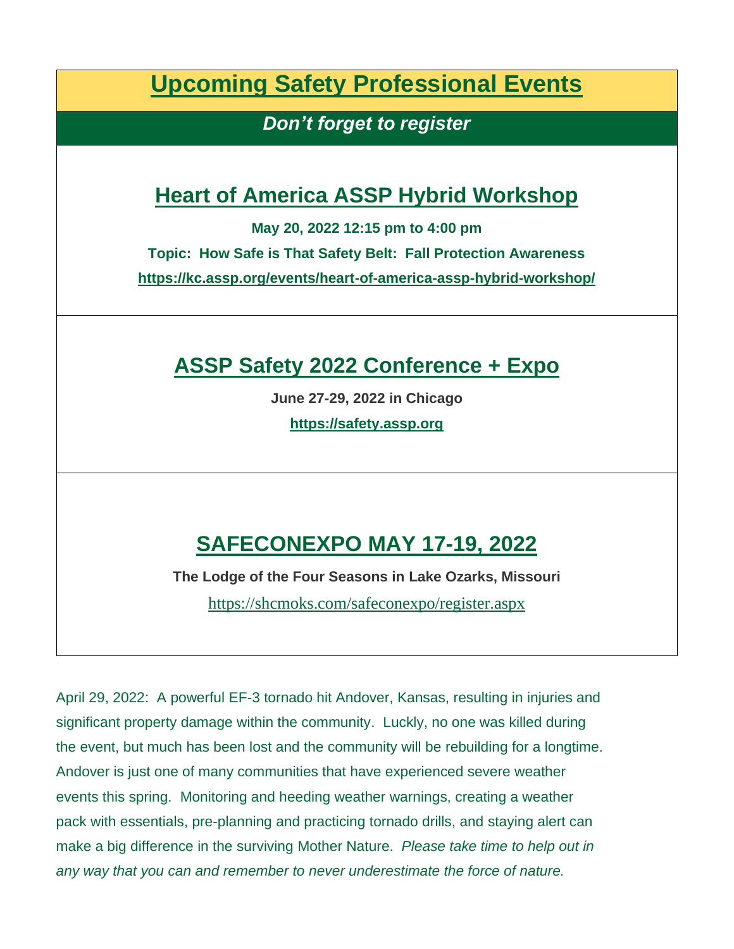**Upcoming Safety Professional Events**

*Don't forget to register*

## **Heart of America ASSP Hybrid Workshop**

**May 20, 2022 12:15 pm to 4:00 pm**

**Topic: How Safe is That Safety Belt: Fall Protection Awareness**

**<https://kc.assp.org/events/heart-of-america-assp-hybrid-workshop/>**

## **ASSP Safety 2022 Conference + Expo**

**June 27-29, 2022 in Chicago**

**[https://safety.assp.org](https://safety.assp.org/)**

# **SAFECONEXPO MAY 17-19, 2022**

**The Lodge of the Four Seasons in Lake Ozarks, Missouri**

<https://shcmoks.com/safeconexpo/register.aspx>

April 29, 2022: A powerful EF-3 tornado hit Andover, Kansas, resulting in injuries and significant property damage within the community. Luckly, no one was killed during the event, but much has been lost and the community will be rebuilding for a longtime. Andover is just one of many communities that have experienced severe weather events this spring. Monitoring and heeding weather warnings, creating a weather pack with essentials, pre-planning and practicing tornado drills, and staying alert can make a big difference in the surviving Mother Nature. *Please take time to help out in any way that you can and remember to never underestimate the force of nature.*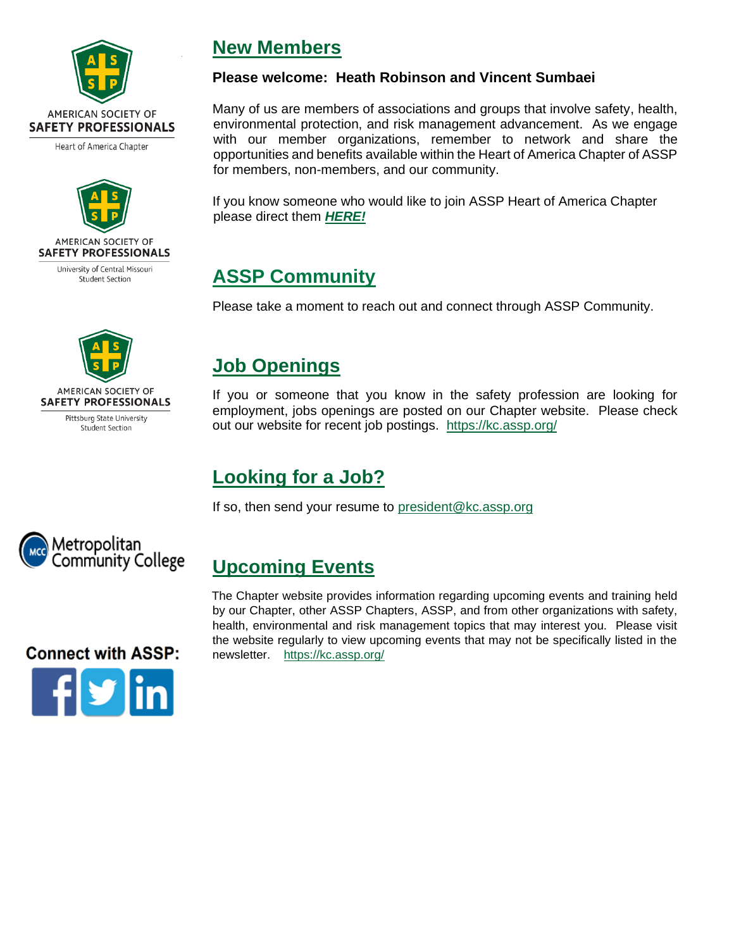

Heart of America Chapter



University of Central Missouri **Student Section** 



Pittsburg State University Student Section

### **New Members**

#### **Please welcome: Heath Robinson and Vincent Sumbaei**

Many of us are members of associations and groups that involve safety, health, environmental protection, and risk management advancement. As we engage with our member organizations, remember to network and share the opportunities and benefits available within the Heart of America Chapter of ASSP for members, non-members, and our community.

If you know someone who would like to join ASSP Heart of America Chapter please direct them *[HERE!](https://store.assp.org/PersonifyEbusiness/Membership/Join-ASSP)*

## **ASSP Community**

Please take a moment to reach out and connect through ASSP Community.

### **Job Openings**

If you or someone that you know in the safety profession are looking for employment, jobs openings are posted on our Chapter website. Please check out our website for recent job postings. <https://kc.assp.org/>

### **Looking for a Job?**

If so, then send your resume to [president@kc.assp.org](mailto:president@kc.assp.org)



### **Upcoming Events**

The Chapter website provides information regarding upcoming events and training held by our Chapter, other ASSP Chapters, ASSP, and from other organizations with safety, health, environmental and risk management topics that may interest you. Please visit the website regularly to view upcoming events that may not be specifically listed in the newsletter. <https://kc.assp.org/>